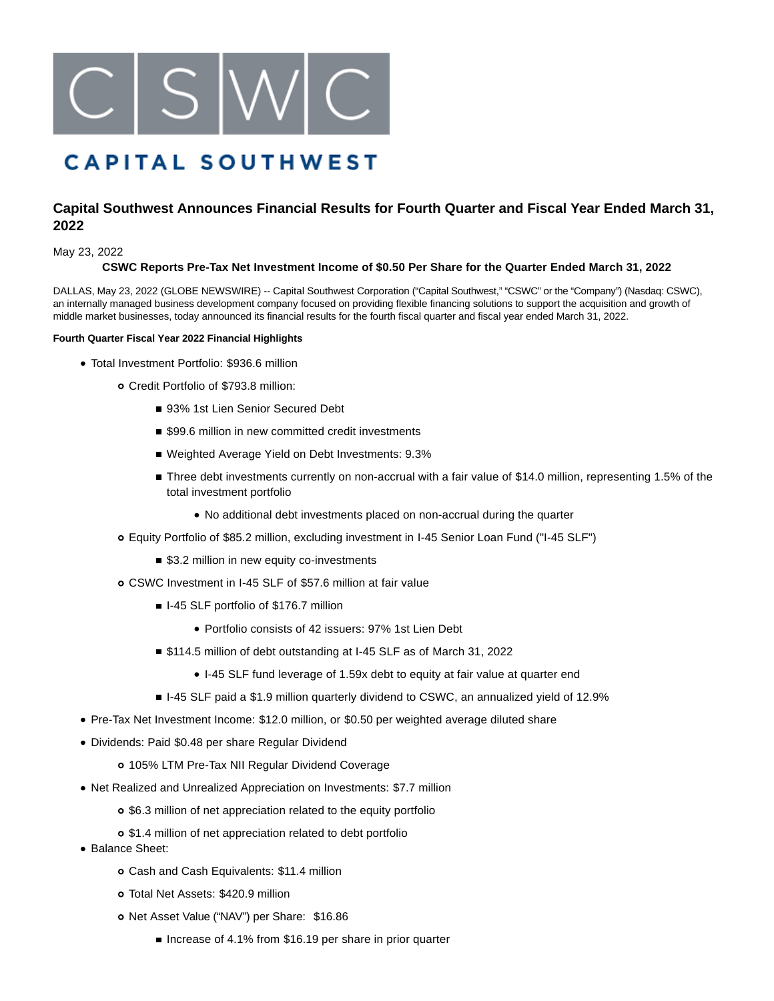

# **CAPITAL SOUTHWEST**

## **Capital Southwest Announces Financial Results for Fourth Quarter and Fiscal Year Ended March 31, 2022**

## May 23, 2022

## **CSWC Reports Pre-Tax Net Investment Income of \$0.50 Per Share for the Quarter Ended March 31, 2022**

DALLAS, May 23, 2022 (GLOBE NEWSWIRE) -- Capital Southwest Corporation ("Capital Southwest," "CSWC" or the "Company") (Nasdaq: CSWC), an internally managed business development company focused on providing flexible financing solutions to support the acquisition and growth of middle market businesses, today announced its financial results for the fourth fiscal quarter and fiscal year ended March 31, 2022.

#### **Fourth Quarter Fiscal Year 2022 Financial Highlights**

- Total Investment Portfolio: \$936.6 million
	- Credit Portfolio of \$793.8 million:
		- 93% 1st Lien Senior Secured Debt
		- \$99.6 million in new committed credit investments
		- Weighted Average Yield on Debt Investments: 9.3%
		- Three debt investments currently on non-accrual with a fair value of \$14.0 million, representing 1.5% of the total investment portfolio
			- No additional debt investments placed on non-accrual during the quarter
	- Equity Portfolio of \$85.2 million, excluding investment in I-45 Senior Loan Fund ("I-45 SLF")
		- \$3.2 million in new equity co-investments
	- CSWC Investment in I-45 SLF of \$57.6 million at fair value
		- I-45 SLF portfolio of \$176.7 million
			- Portfolio consists of 42 issuers: 97% 1st Lien Debt
		- \$114.5 million of debt outstanding at I-45 SLF as of March 31, 2022
			- I-45 SLF fund leverage of 1.59x debt to equity at fair value at quarter end
		- I-45 SLF paid a \$1.9 million quarterly dividend to CSWC, an annualized yield of 12.9%
- Pre-Tax Net Investment Income: \$12.0 million, or \$0.50 per weighted average diluted share
- Dividends: Paid \$0.48 per share Regular Dividend
	- 105% LTM Pre-Tax NII Regular Dividend Coverage
- Net Realized and Unrealized Appreciation on Investments: \$7.7 million
	- \$6.3 million of net appreciation related to the equity portfolio
	- \$1.4 million of net appreciation related to debt portfolio
- Balance Sheet:
	- Cash and Cash Equivalents: \$11.4 million
	- Total Net Assets: \$420.9 million
	- o Net Asset Value ("NAV") per Share: \$16.86
		- Increase of 4.1% from \$16.19 per share in prior quarter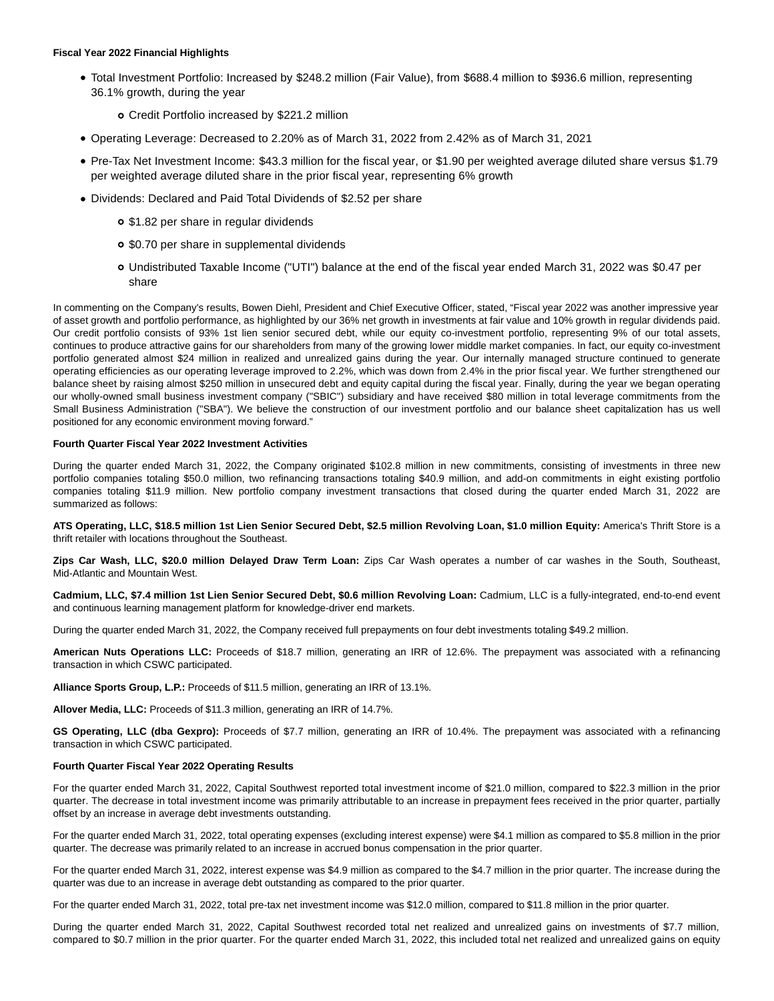#### **Fiscal Year 2022 Financial Highlights**

- Total Investment Portfolio: Increased by \$248.2 million (Fair Value), from \$688.4 million to \$936.6 million, representing 36.1% growth, during the year
	- Credit Portfolio increased by \$221.2 million
- Operating Leverage: Decreased to 2.20% as of March 31, 2022 from 2.42% as of March 31, 2021
- Pre-Tax Net Investment Income: \$43.3 million for the fiscal year, or \$1.90 per weighted average diluted share versus \$1.79 per weighted average diluted share in the prior fiscal year, representing 6% growth
- Dividends: Declared and Paid Total Dividends of \$2.52 per share
	- o \$1.82 per share in regular dividends
	- \$0.70 per share in supplemental dividends
	- Undistributed Taxable Income ("UTI") balance at the end of the fiscal year ended March 31, 2022 was \$0.47 per share

In commenting on the Company's results, Bowen Diehl, President and Chief Executive Officer, stated, "Fiscal year 2022 was another impressive year of asset growth and portfolio performance, as highlighted by our 36% net growth in investments at fair value and 10% growth in regular dividends paid. Our credit portfolio consists of 93% 1st lien senior secured debt, while our equity co-investment portfolio, representing 9% of our total assets, continues to produce attractive gains for our shareholders from many of the growing lower middle market companies. In fact, our equity co-investment portfolio generated almost \$24 million in realized and unrealized gains during the year. Our internally managed structure continued to generate operating efficiencies as our operating leverage improved to 2.2%, which was down from 2.4% in the prior fiscal year. We further strengthened our balance sheet by raising almost \$250 million in unsecured debt and equity capital during the fiscal year. Finally, during the year we began operating our wholly-owned small business investment company ("SBIC") subsidiary and have received \$80 million in total leverage commitments from the Small Business Administration ("SBA"). We believe the construction of our investment portfolio and our balance sheet capitalization has us well positioned for any economic environment moving forward."

#### **Fourth Quarter Fiscal Year 2022 Investment Activities**

During the quarter ended March 31, 2022, the Company originated \$102.8 million in new commitments, consisting of investments in three new portfolio companies totaling \$50.0 million, two refinancing transactions totaling \$40.9 million, and add-on commitments in eight existing portfolio companies totaling \$11.9 million. New portfolio company investment transactions that closed during the quarter ended March 31, 2022 are summarized as follows:

**ATS Operating, LLC, \$18.5 million 1st Lien Senior Secured Debt, \$2.5 million Revolving Loan, \$1.0 million Equity:** America's Thrift Store is a thrift retailer with locations throughout the Southeast.

**Zips Car Wash, LLC, \$20.0 million Delayed Draw Term Loan:** Zips Car Wash operates a number of car washes in the South, Southeast, Mid-Atlantic and Mountain West.

Cadmium, LLC, \$7.4 million 1st Lien Senior Secured Debt, \$0.6 million Revolving Loan: Cadmium, LLC is a fully-integrated, end-to-end event and continuous learning management platform for knowledge-driver end markets.

During the quarter ended March 31, 2022, the Company received full prepayments on four debt investments totaling \$49.2 million.

**American Nuts Operations LLC:** Proceeds of \$18.7 million, generating an IRR of 12.6%. The prepayment was associated with a refinancing transaction in which CSWC participated.

**Alliance Sports Group, L.P.:** Proceeds of \$11.5 million, generating an IRR of 13.1%.

**Allover Media, LLC:** Proceeds of \$11.3 million, generating an IRR of 14.7%.

GS Operating, LLC (dba Gexpro): Proceeds of \$7.7 million, generating an IRR of 10.4%. The prepayment was associated with a refinancing transaction in which CSWC participated.

#### **Fourth Quarter Fiscal Year 2022 Operating Results**

For the quarter ended March 31, 2022, Capital Southwest reported total investment income of \$21.0 million, compared to \$22.3 million in the prior quarter. The decrease in total investment income was primarily attributable to an increase in prepayment fees received in the prior quarter, partially offset by an increase in average debt investments outstanding.

For the quarter ended March 31, 2022, total operating expenses (excluding interest expense) were \$4.1 million as compared to \$5.8 million in the prior quarter. The decrease was primarily related to an increase in accrued bonus compensation in the prior quarter.

For the quarter ended March 31, 2022, interest expense was \$4.9 million as compared to the \$4.7 million in the prior quarter. The increase during the quarter was due to an increase in average debt outstanding as compared to the prior quarter.

For the quarter ended March 31, 2022, total pre-tax net investment income was \$12.0 million, compared to \$11.8 million in the prior quarter.

During the quarter ended March 31, 2022, Capital Southwest recorded total net realized and unrealized gains on investments of \$7.7 million, compared to \$0.7 million in the prior quarter. For the quarter ended March 31, 2022, this included total net realized and unrealized gains on equity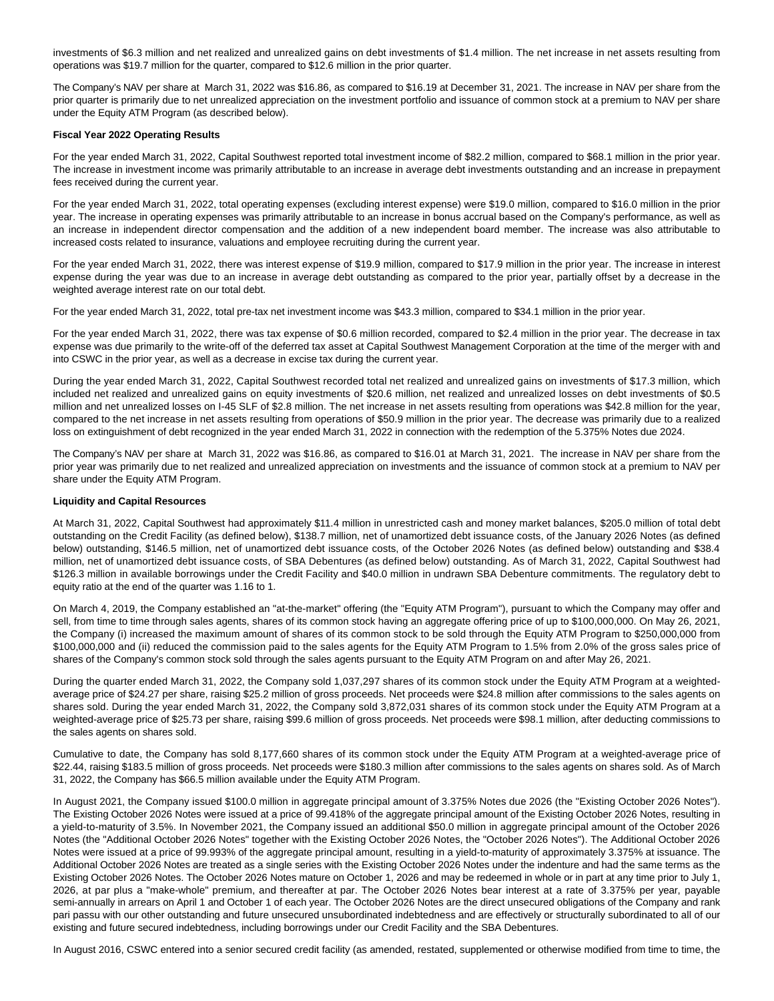investments of \$6.3 million and net realized and unrealized gains on debt investments of \$1.4 million. The net increase in net assets resulting from operations was \$19.7 million for the quarter, compared to \$12.6 million in the prior quarter.

The Company's NAV per share at March 31, 2022 was \$16.86, as compared to \$16.19 at December 31, 2021. The increase in NAV per share from the prior quarter is primarily due to net unrealized appreciation on the investment portfolio and issuance of common stock at a premium to NAV per share under the Equity ATM Program (as described below).

#### **Fiscal Year 2022 Operating Results**

For the year ended March 31, 2022, Capital Southwest reported total investment income of \$82.2 million, compared to \$68.1 million in the prior year. The increase in investment income was primarily attributable to an increase in average debt investments outstanding and an increase in prepayment fees received during the current year.

For the year ended March 31, 2022, total operating expenses (excluding interest expense) were \$19.0 million, compared to \$16.0 million in the prior year. The increase in operating expenses was primarily attributable to an increase in bonus accrual based on the Company's performance, as well as an increase in independent director compensation and the addition of a new independent board member. The increase was also attributable to increased costs related to insurance, valuations and employee recruiting during the current year.

For the year ended March 31, 2022, there was interest expense of \$19.9 million, compared to \$17.9 million in the prior year. The increase in interest expense during the year was due to an increase in average debt outstanding as compared to the prior year, partially offset by a decrease in the weighted average interest rate on our total debt.

For the year ended March 31, 2022, total pre-tax net investment income was \$43.3 million, compared to \$34.1 million in the prior year.

For the year ended March 31, 2022, there was tax expense of \$0.6 million recorded, compared to \$2.4 million in the prior year. The decrease in tax expense was due primarily to the write-off of the deferred tax asset at Capital Southwest Management Corporation at the time of the merger with and into CSWC in the prior year, as well as a decrease in excise tax during the current year.

During the year ended March 31, 2022, Capital Southwest recorded total net realized and unrealized gains on investments of \$17.3 million, which included net realized and unrealized gains on equity investments of \$20.6 million, net realized and unrealized losses on debt investments of \$0.5 million and net unrealized losses on I-45 SLF of \$2.8 million. The net increase in net assets resulting from operations was \$42.8 million for the year, compared to the net increase in net assets resulting from operations of \$50.9 million in the prior year. The decrease was primarily due to a realized loss on extinguishment of debt recognized in the year ended March 31, 2022 in connection with the redemption of the 5.375% Notes due 2024.

The Company's NAV per share at March 31, 2022 was \$16.86, as compared to \$16.01 at March 31, 2021. The increase in NAV per share from the prior year was primarily due to net realized and unrealized appreciation on investments and the issuance of common stock at a premium to NAV per share under the Equity ATM Program.

#### **Liquidity and Capital Resources**

At March 31, 2022, Capital Southwest had approximately \$11.4 million in unrestricted cash and money market balances, \$205.0 million of total debt outstanding on the Credit Facility (as defined below), \$138.7 million, net of unamortized debt issuance costs, of the January 2026 Notes (as defined below) outstanding, \$146.5 million, net of unamortized debt issuance costs, of the October 2026 Notes (as defined below) outstanding and \$38.4 million, net of unamortized debt issuance costs, of SBA Debentures (as defined below) outstanding. As of March 31, 2022, Capital Southwest had \$126.3 million in available borrowings under the Credit Facility and \$40.0 million in undrawn SBA Debenture commitments. The regulatory debt to equity ratio at the end of the quarter was 1.16 to 1.

On March 4, 2019, the Company established an "at-the-market" offering (the "Equity ATM Program"), pursuant to which the Company may offer and sell, from time to time through sales agents, shares of its common stock having an aggregate offering price of up to \$100,000,000. On May 26, 2021, the Company (i) increased the maximum amount of shares of its common stock to be sold through the Equity ATM Program to \$250,000,000 from \$100,000,000 and (ii) reduced the commission paid to the sales agents for the Equity ATM Program to 1.5% from 2.0% of the gross sales price of shares of the Company's common stock sold through the sales agents pursuant to the Equity ATM Program on and after May 26, 2021.

During the quarter ended March 31, 2022, the Company sold 1,037,297 shares of its common stock under the Equity ATM Program at a weightedaverage price of \$24.27 per share, raising \$25.2 million of gross proceeds. Net proceeds were \$24.8 million after commissions to the sales agents on shares sold. During the year ended March 31, 2022, the Company sold 3,872,031 shares of its common stock under the Equity ATM Program at a weighted-average price of \$25.73 per share, raising \$99.6 million of gross proceeds. Net proceeds were \$98.1 million, after deducting commissions to the sales agents on shares sold.

Cumulative to date, the Company has sold 8,177,660 shares of its common stock under the Equity ATM Program at a weighted-average price of \$22.44, raising \$183.5 million of gross proceeds. Net proceeds were \$180.3 million after commissions to the sales agents on shares sold. As of March 31, 2022, the Company has \$66.5 million available under the Equity ATM Program.

In August 2021, the Company issued \$100.0 million in aggregate principal amount of 3.375% Notes due 2026 (the "Existing October 2026 Notes"). The Existing October 2026 Notes were issued at a price of 99.418% of the aggregate principal amount of the Existing October 2026 Notes, resulting in a yield-to-maturity of 3.5%. In November 2021, the Company issued an additional \$50.0 million in aggregate principal amount of the October 2026 Notes (the "Additional October 2026 Notes" together with the Existing October 2026 Notes, the "October 2026 Notes"). The Additional October 2026 Notes were issued at a price of 99.993% of the aggregate principal amount, resulting in a yield-to-maturity of approximately 3.375% at issuance. The Additional October 2026 Notes are treated as a single series with the Existing October 2026 Notes under the indenture and had the same terms as the Existing October 2026 Notes. The October 2026 Notes mature on October 1, 2026 and may be redeemed in whole or in part at any time prior to July 1, 2026, at par plus a "make-whole" premium, and thereafter at par. The October 2026 Notes bear interest at a rate of 3.375% per year, payable semi-annually in arrears on April 1 and October 1 of each year. The October 2026 Notes are the direct unsecured obligations of the Company and rank pari passu with our other outstanding and future unsecured unsubordinated indebtedness and are effectively or structurally subordinated to all of our existing and future secured indebtedness, including borrowings under our Credit Facility and the SBA Debentures.

In August 2016, CSWC entered into a senior secured credit facility (as amended, restated, supplemented or otherwise modified from time to time, the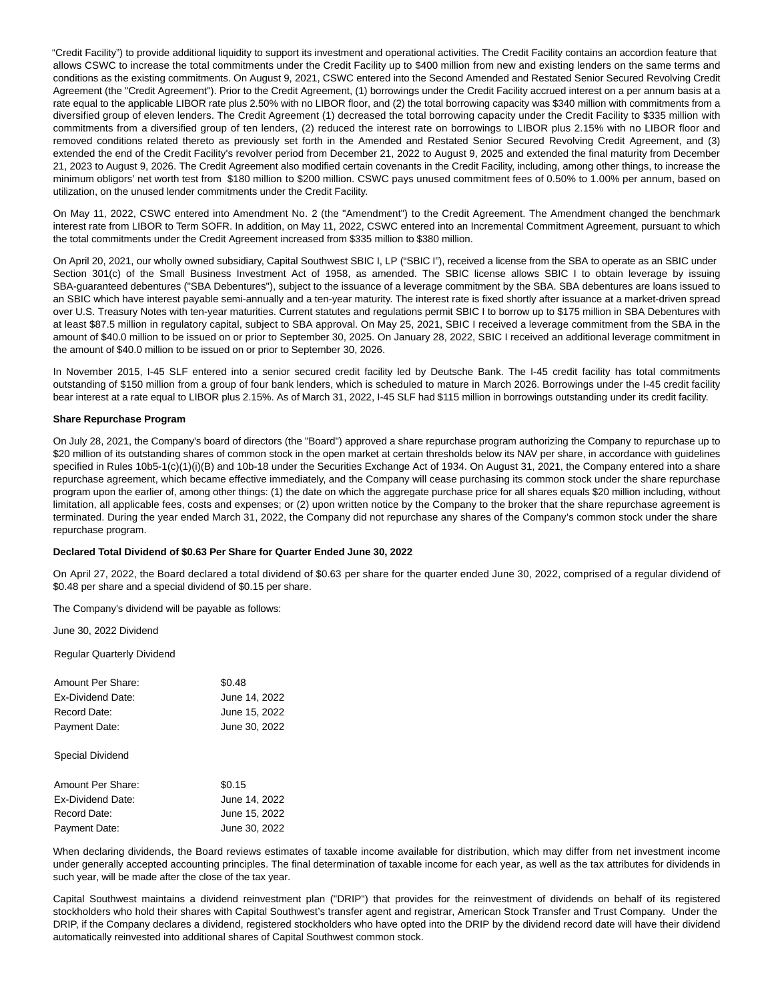"Credit Facility") to provide additional liquidity to support its investment and operational activities. The Credit Facility contains an accordion feature that allows CSWC to increase the total commitments under the Credit Facility up to \$400 million from new and existing lenders on the same terms and conditions as the existing commitments. On August 9, 2021, CSWC entered into the Second Amended and Restated Senior Secured Revolving Credit Agreement (the "Credit Agreement"). Prior to the Credit Agreement, (1) borrowings under the Credit Facility accrued interest on a per annum basis at a rate equal to the applicable LIBOR rate plus 2.50% with no LIBOR floor, and (2) the total borrowing capacity was \$340 million with commitments from a diversified group of eleven lenders. The Credit Agreement (1) decreased the total borrowing capacity under the Credit Facility to \$335 million with commitments from a diversified group of ten lenders, (2) reduced the interest rate on borrowings to LIBOR plus 2.15% with no LIBOR floor and removed conditions related thereto as previously set forth in the Amended and Restated Senior Secured Revolving Credit Agreement, and (3) extended the end of the Credit Facility's revolver period from December 21, 2022 to August 9, 2025 and extended the final maturity from December 21, 2023 to August 9, 2026. The Credit Agreement also modified certain covenants in the Credit Facility, including, among other things, to increase the minimum obligors' net worth test from \$180 million to \$200 million. CSWC pays unused commitment fees of 0.50% to 1.00% per annum, based on utilization, on the unused lender commitments under the Credit Facility.

On May 11, 2022, CSWC entered into Amendment No. 2 (the "Amendment") to the Credit Agreement. The Amendment changed the benchmark interest rate from LIBOR to Term SOFR. In addition, on May 11, 2022, CSWC entered into an Incremental Commitment Agreement, pursuant to which the total commitments under the Credit Agreement increased from \$335 million to \$380 million.

On April 20, 2021, our wholly owned subsidiary, Capital Southwest SBIC I, LP ("SBIC I"), received a license from the SBA to operate as an SBIC under Section 301(c) of the Small Business Investment Act of 1958, as amended. The SBIC license allows SBIC I to obtain leverage by issuing SBA-guaranteed debentures ("SBA Debentures"), subject to the issuance of a leverage commitment by the SBA. SBA debentures are loans issued to an SBIC which have interest payable semi-annually and a ten-year maturity. The interest rate is fixed shortly after issuance at a market-driven spread over U.S. Treasury Notes with ten-year maturities. Current statutes and regulations permit SBIC I to borrow up to \$175 million in SBA Debentures with at least \$87.5 million in regulatory capital, subject to SBA approval. On May 25, 2021, SBIC I received a leverage commitment from the SBA in the amount of \$40.0 million to be issued on or prior to September 30, 2025. On January 28, 2022, SBIC I received an additional leverage commitment in the amount of \$40.0 million to be issued on or prior to September 30, 2026.

In November 2015, I-45 SLF entered into a senior secured credit facility led by Deutsche Bank. The I-45 credit facility has total commitments outstanding of \$150 million from a group of four bank lenders, which is scheduled to mature in March 2026. Borrowings under the I-45 credit facility bear interest at a rate equal to LIBOR plus 2.15%. As of March 31, 2022, I-45 SLF had \$115 million in borrowings outstanding under its credit facility.

#### **Share Repurchase Program**

On July 28, 2021, the Company's board of directors (the "Board") approved a share repurchase program authorizing the Company to repurchase up to \$20 million of its outstanding shares of common stock in the open market at certain thresholds below its NAV per share, in accordance with guidelines specified in Rules 10b5-1(c)(1)(i)(B) and 10b-18 under the Securities Exchange Act of 1934. On August 31, 2021, the Company entered into a share repurchase agreement, which became effective immediately, and the Company will cease purchasing its common stock under the share repurchase program upon the earlier of, among other things: (1) the date on which the aggregate purchase price for all shares equals \$20 million including, without limitation, all applicable fees, costs and expenses; or (2) upon written notice by the Company to the broker that the share repurchase agreement is terminated. During the year ended March 31, 2022, the Company did not repurchase any shares of the Company's common stock under the share repurchase program.

#### **Declared Total Dividend of \$0.63 Per Share for Quarter Ended June 30, 2022**

On April 27, 2022, the Board declared a total dividend of \$0.63 per share for the quarter ended June 30, 2022, comprised of a regular dividend of \$0.48 per share and a special dividend of \$0.15 per share.

The Company's dividend will be payable as follows:

June 30, 2022 Dividend

Regular Quarterly Dividend

| Amount Per Share: | \$0.48        |
|-------------------|---------------|
| Ex-Dividend Date: | June 14, 2022 |
| Record Date:      | June 15, 2022 |
| Payment Date:     | June 30, 2022 |
| Special Dividend  |               |
| Amount Per Share: | \$0.15        |
| Ex-Dividend Date: | June 14, 2022 |
| Record Date:      | June 15, 2022 |
| Payment Date:     | June 30, 2022 |

When declaring dividends, the Board reviews estimates of taxable income available for distribution, which may differ from net investment income under generally accepted accounting principles. The final determination of taxable income for each year, as well as the tax attributes for dividends in such year, will be made after the close of the tax year.

Capital Southwest maintains a dividend reinvestment plan ("DRIP") that provides for the reinvestment of dividends on behalf of its registered stockholders who hold their shares with Capital Southwest's transfer agent and registrar, American Stock Transfer and Trust Company. Under the DRIP, if the Company declares a dividend, registered stockholders who have opted into the DRIP by the dividend record date will have their dividend automatically reinvested into additional shares of Capital Southwest common stock.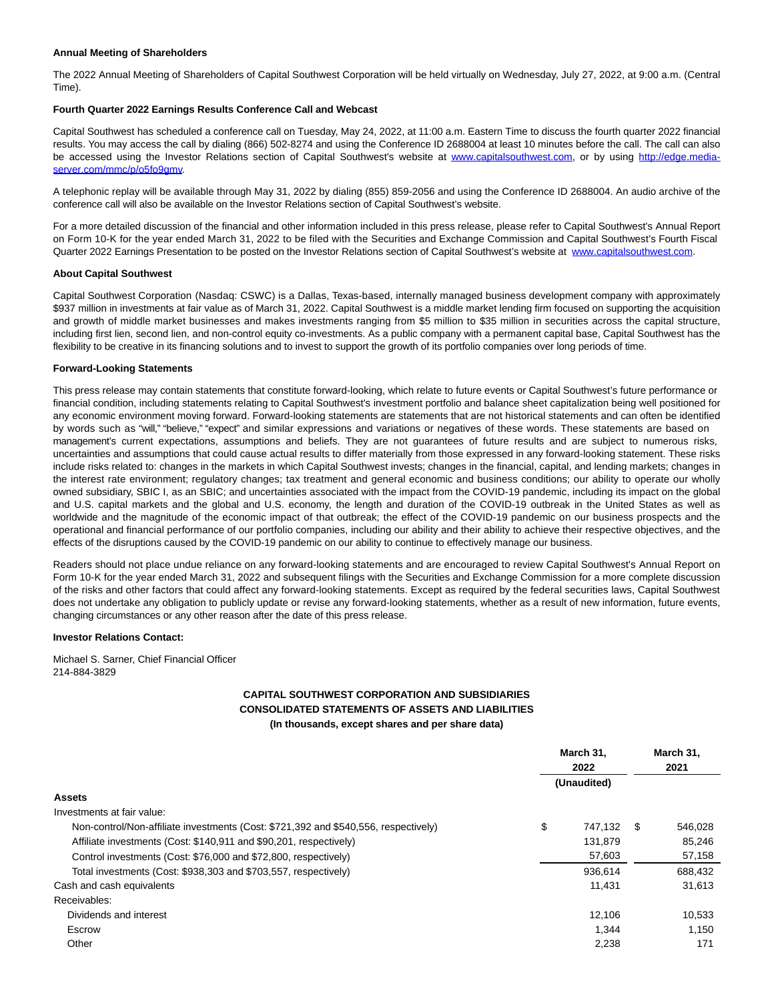#### **Annual Meeting of Shareholders**

The 2022 Annual Meeting of Shareholders of Capital Southwest Corporation will be held virtually on Wednesday, July 27, 2022, at 9:00 a.m. (Central Time).

#### **Fourth Quarter 2022 Earnings Results Conference Call and Webcast**

Capital Southwest has scheduled a conference call on Tuesday, May 24, 2022, at 11:00 a.m. Eastern Time to discuss the fourth quarter 2022 financial results. You may access the call by dialing (866) 502-8274 and using the Conference ID 2688004 at least 10 minutes before the call. The call can also be accessed using the Investor Relations section of Capital Southwest's website at [www.capitalsouthwest.com,](https://www.globenewswire.com/Tracker?data=zw4binioLz6nZpklNre7aASWU9T58pGvpCM-838N7nCOm0d1biRAK_JXah1rgWTxO4ak5e_RW3A1IUtmXnCdS7UBrsWfKyYBUhMuGFIc2QE=) or by using [http://edge.media](https://www.globenewswire.com/Tracker?data=Ckvct4OGW5swYMjUkSvdgVFXsyBIwdzRfiYgh1tgtkOZ8N_f_dRJ12kOwGw7-a2H9SBqRsNvqQzrc4yiEjp6r-SxHcHJcVAQACOC2bHE9UNwQ-m1wn9OkuK_2pM7BkM_gSmWq9UFfuzoA2FHlokMew==)server.com/mmc/p/o5fo9gmv.

A telephonic replay will be available through May 31, 2022 by dialing (855) 859-2056 and using the Conference ID 2688004. An audio archive of the conference call will also be available on the Investor Relations section of Capital Southwest's website.

For a more detailed discussion of the financial and other information included in this press release, please refer to Capital Southwest's Annual Report on Form 10-K for the year ended March 31, 2022 to be filed with the Securities and Exchange Commission and Capital Southwest's Fourth Fiscal Quarter 2022 Earnings Presentation to be posted on the Investor Relations section of Capital Southwest's website at www.capitalsouthwest.com.

#### **About Capital Southwest**

Capital Southwest Corporation (Nasdaq: CSWC) is a Dallas, Texas-based, internally managed business development company with approximately \$937 million in investments at fair value as of March 31, 2022. Capital Southwest is a middle market lending firm focused on supporting the acquisition and growth of middle market businesses and makes investments ranging from \$5 million to \$35 million in securities across the capital structure, including first lien, second lien, and non-control equity co-investments. As a public company with a permanent capital base, Capital Southwest has the flexibility to be creative in its financing solutions and to invest to support the growth of its portfolio companies over long periods of time.

#### **Forward-Looking Statements**

This press release may contain statements that constitute forward-looking, which relate to future events or Capital Southwest's future performance or financial condition, including statements relating to Capital Southwest's investment portfolio and balance sheet capitalization being well positioned for any economic environment moving forward. Forward-looking statements are statements that are not historical statements and can often be identified by words such as "will," "believe," "expect" and similar expressions and variations or negatives of these words. These statements are based on management's current expectations, assumptions and beliefs. They are not guarantees of future results and are subject to numerous risks, uncertainties and assumptions that could cause actual results to differ materially from those expressed in any forward-looking statement. These risks include risks related to: changes in the markets in which Capital Southwest invests; changes in the financial, capital, and lending markets; changes in the interest rate environment; regulatory changes; tax treatment and general economic and business conditions; our ability to operate our wholly owned subsidiary, SBIC I, as an SBIC; and uncertainties associated with the impact from the COVID-19 pandemic, including its impact on the global and U.S. capital markets and the global and U.S. economy, the length and duration of the COVID-19 outbreak in the United States as well as worldwide and the magnitude of the economic impact of that outbreak; the effect of the COVID-19 pandemic on our business prospects and the operational and financial performance of our portfolio companies, including our ability and their ability to achieve their respective objectives, and the effects of the disruptions caused by the COVID-19 pandemic on our ability to continue to effectively manage our business.

Readers should not place undue reliance on any forward-looking statements and are encouraged to review Capital Southwest's Annual Report on Form 10-K for the year ended March 31, 2022 and subsequent filings with the Securities and Exchange Commission for a more complete discussion of the risks and other factors that could affect any forward-looking statements. Except as required by the federal securities laws, Capital Southwest does not undertake any obligation to publicly update or revise any forward-looking statements, whether as a result of new information, future events, changing circumstances or any other reason after the date of this press release.

#### **Investor Relations Contact:**

Michael S. Sarner, Chief Financial Officer 214-884-3829

## **CAPITAL SOUTHWEST CORPORATION AND SUBSIDIARIES CONSOLIDATED STATEMENTS OF ASSETS AND LIABILITIES (In thousands, except shares and per share data)**

|                                                                                     | March 31,<br>2022 |         | March 31,<br>2021 |         |
|-------------------------------------------------------------------------------------|-------------------|---------|-------------------|---------|
|                                                                                     | (Unaudited)       |         |                   |         |
| <b>Assets</b>                                                                       |                   |         |                   |         |
| Investments at fair value:                                                          |                   |         |                   |         |
| Non-control/Non-affiliate investments (Cost: \$721,392 and \$540,556, respectively) | \$                | 747.132 | \$                | 546,028 |
| Affiliate investments (Cost: \$140,911 and \$90,201, respectively)                  |                   | 131.879 |                   | 85.246  |
| Control investments (Cost: \$76,000 and \$72,800, respectively)                     |                   | 57.603  |                   | 57,158  |
| Total investments (Cost: \$938,303 and \$703,557, respectively)                     |                   | 936,614 |                   | 688,432 |
| Cash and cash equivalents                                                           |                   | 11.431  |                   | 31.613  |
| Receivables:                                                                        |                   |         |                   |         |
| Dividends and interest                                                              |                   | 12,106  |                   | 10,533  |
| Escrow                                                                              |                   | 1.344   |                   | 1.150   |
| Other                                                                               |                   | 2,238   |                   | 171     |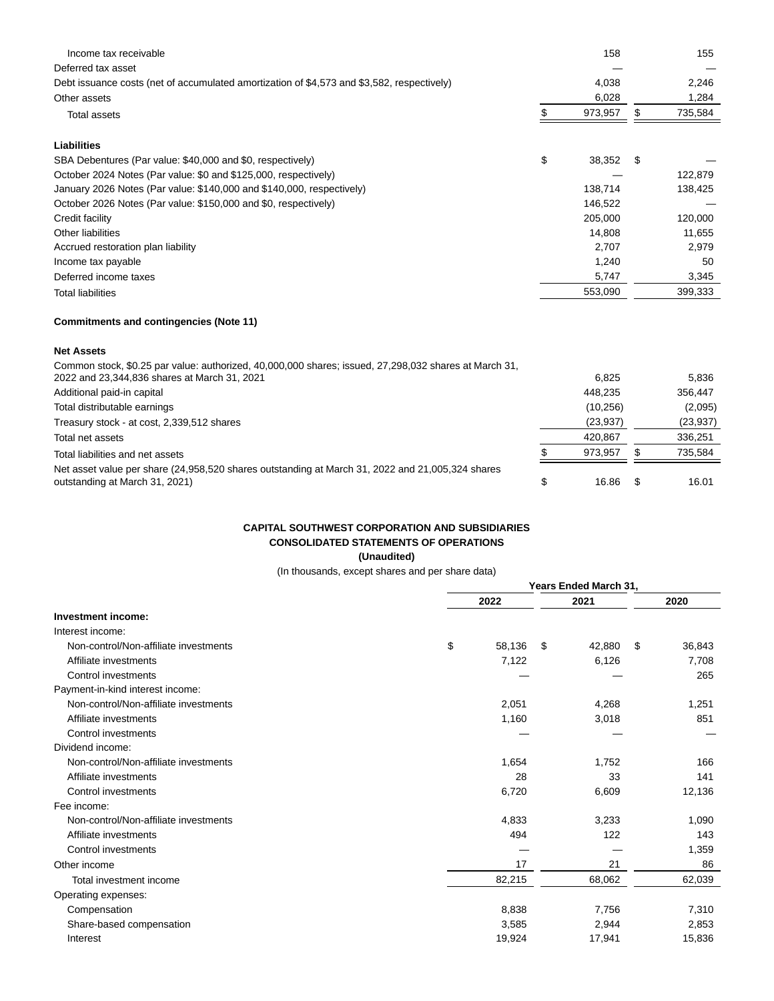| Income tax receivable                                                                      | 158          |      | 155     |
|--------------------------------------------------------------------------------------------|--------------|------|---------|
| Deferred tax asset                                                                         |              |      |         |
| Debt issuance costs (net of accumulated amortization of \$4,573 and \$3,582, respectively) | 4,038        |      | 2,246   |
| Other assets                                                                               | 6,028        |      | 1,284   |
| Total assets                                                                               | 973,957      | S    | 735,584 |
|                                                                                            |              |      |         |
| <b>Liabilities</b>                                                                         |              |      |         |
| SBA Debentures (Par value: \$40,000 and \$0, respectively)                                 | \$<br>38,352 | - \$ |         |
| October 2024 Notes (Par value: \$0 and \$125,000, respectively)                            |              |      | 122,879 |
| January 2026 Notes (Par value: \$140,000 and \$140,000, respectively)                      | 138,714      |      | 138,425 |
| October 2026 Notes (Par value: \$150,000 and \$0, respectively)                            | 146,522      |      |         |
| Credit facility                                                                            | 205,000      |      | 120,000 |
| Other liabilities                                                                          | 14.808       |      | 11,655  |
| Accrued restoration plan liability                                                         | 2,707        |      | 2,979   |
| Income tax payable                                                                         | 1,240        |      | 50      |
| Deferred income taxes                                                                      | 5,747        |      | 3,345   |
| <b>Total liabilities</b>                                                                   | 553,090      |      | 399,333 |

## **Commitments and contingencies (Note 11)**

## **Net Assets**

| Common stock, \$0.25 par value: authorized, 40,000,000 shares; issued, 27,298,032 shares at March 31,                              |           |           |
|------------------------------------------------------------------------------------------------------------------------------------|-----------|-----------|
| 2022 and 23,344,836 shares at March 31, 2021                                                                                       | 6.825     | 5.836     |
| Additional paid-in capital                                                                                                         | 448.235   | 356,447   |
| Total distributable earnings                                                                                                       | (10, 256) | (2,095)   |
| Treasury stock - at cost, 2,339,512 shares                                                                                         | (23, 937) | (23, 937) |
| Total net assets                                                                                                                   | 420.867   | 336,251   |
| Total liabilities and net assets                                                                                                   | 973.957   | 735,584   |
| Net asset value per share (24,958,520 shares outstanding at March 31, 2022 and 21,005,324 shares<br>outstanding at March 31, 2021) | 16.86     | 16.01     |

## **CAPITAL SOUTHWEST CORPORATION AND SUBSIDIARIES CONSOLIDATED STATEMENTS OF OPERATIONS**

**(Unaudited)**

(In thousands, except shares and per share data)

|                                       | Years Ended March 31, |        |    |        |    |        |
|---------------------------------------|-----------------------|--------|----|--------|----|--------|
|                                       |                       | 2022   |    | 2021   |    | 2020   |
| Investment income:                    |                       |        |    |        |    |        |
| Interest income:                      |                       |        |    |        |    |        |
| Non-control/Non-affiliate investments | \$                    | 58,136 | \$ | 42,880 | \$ | 36,843 |
| Affiliate investments                 |                       | 7,122  |    | 6,126  |    | 7,708  |
| Control investments                   |                       |        |    |        |    | 265    |
| Payment-in-kind interest income:      |                       |        |    |        |    |        |
| Non-control/Non-affiliate investments |                       | 2,051  |    | 4,268  |    | 1,251  |
| Affiliate investments                 |                       | 1,160  |    | 3,018  |    | 851    |
| Control investments                   |                       |        |    |        |    |        |
| Dividend income:                      |                       |        |    |        |    |        |
| Non-control/Non-affiliate investments |                       | 1,654  |    | 1,752  |    | 166    |
| Affiliate investments                 |                       | 28     |    | 33     |    | 141    |
| Control investments                   |                       | 6,720  |    | 6,609  |    | 12,136 |
| Fee income:                           |                       |        |    |        |    |        |
| Non-control/Non-affiliate investments |                       | 4,833  |    | 3,233  |    | 1,090  |
| Affiliate investments                 |                       | 494    |    | 122    |    | 143    |
| Control investments                   |                       |        |    |        |    | 1,359  |
| Other income                          |                       | 17     |    | 21     |    | 86     |
| Total investment income               |                       | 82,215 |    | 68,062 |    | 62,039 |
| Operating expenses:                   |                       |        |    |        |    |        |
| Compensation                          |                       | 8,838  |    | 7,756  |    | 7,310  |
| Share-based compensation              |                       | 3,585  |    | 2,944  |    | 2,853  |
| Interest                              |                       | 19,924 |    | 17,941 |    | 15,836 |